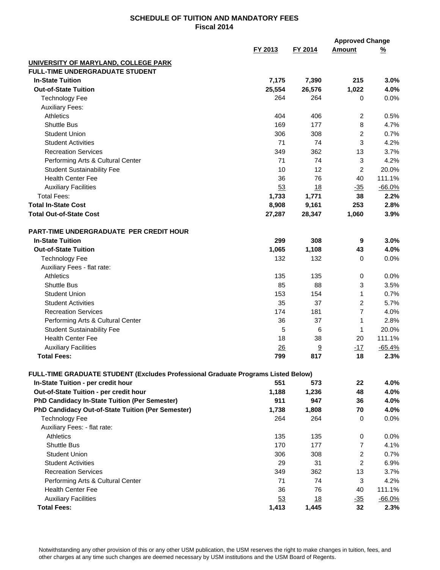## **SCHEDULE OF TUITION AND MANDATORY FEES Fiscal 2014**

|                                                                                                                                |         |           | <b>Approved Change</b> |          |
|--------------------------------------------------------------------------------------------------------------------------------|---------|-----------|------------------------|----------|
|                                                                                                                                | FY 2013 | FY 2014   | <b>Amount</b>          | <u>%</u> |
| UNIVERSITY OF MARYLAND, COLLEGE PARK                                                                                           |         |           |                        |          |
| <b>FULL-TIME UNDERGRADUATE STUDENT</b>                                                                                         |         |           |                        |          |
| <b>In-State Tuition</b>                                                                                                        | 7,175   | 7,390     | 215                    | 3.0%     |
| <b>Out-of-State Tuition</b>                                                                                                    | 25,554  | 26,576    | 1,022                  | 4.0%     |
| <b>Technology Fee</b>                                                                                                          | 264     | 264       | 0                      | 0.0%     |
| <b>Auxiliary Fees:</b>                                                                                                         |         |           |                        |          |
| <b>Athletics</b>                                                                                                               | 404     | 406       | 2                      | 0.5%     |
| <b>Shuttle Bus</b>                                                                                                             | 169     | 177       | 8                      | 4.7%     |
| <b>Student Union</b>                                                                                                           | 306     | 308       | 2                      | 0.7%     |
| <b>Student Activities</b>                                                                                                      | 71      | 74        | 3                      | 4.2%     |
| <b>Recreation Services</b>                                                                                                     | 349     | 362       | 13                     | 3.7%     |
| Performing Arts & Cultural Center                                                                                              | 71      | 74        | 3                      | 4.2%     |
| <b>Student Sustainability Fee</b>                                                                                              | 10      | 12        | 2                      | 20.0%    |
| <b>Health Center Fee</b>                                                                                                       | 36      | 76        | 40                     | 111.1%   |
| <b>Auxiliary Facilities</b>                                                                                                    | 53      | 18        | $-35$                  | $-66.0%$ |
| <b>Total Fees:</b>                                                                                                             | 1,733   | 1,771     | 38                     | 2.2%     |
| <b>Total In-State Cost</b>                                                                                                     | 8,908   | 9,161     | 253                    | 2.8%     |
| <b>Total Out-of-State Cost</b>                                                                                                 |         | 28,347    | 1,060                  | 3.9%     |
|                                                                                                                                | 27,287  |           |                        |          |
| PART-TIME UNDERGRADUATE PER CREDIT HOUR                                                                                        |         |           |                        |          |
| <b>In-State Tuition</b>                                                                                                        | 299     | 308       | 9                      | 3.0%     |
| <b>Out-of-State Tuition</b>                                                                                                    | 1,065   | 1,108     | 43                     | 4.0%     |
| <b>Technology Fee</b>                                                                                                          | 132     | 132       | 0                      | 0.0%     |
|                                                                                                                                |         |           |                        |          |
| Auxiliary Fees - flat rate:<br><b>Athletics</b>                                                                                |         |           |                        |          |
|                                                                                                                                | 135     | 135       | 0                      | 0.0%     |
| <b>Shuttle Bus</b>                                                                                                             | 85      | 88        | 3                      | 3.5%     |
| <b>Student Union</b>                                                                                                           | 153     | 154       | 1                      | 0.7%     |
| <b>Student Activities</b>                                                                                                      | 35      | 37        | 2                      | 5.7%     |
| <b>Recreation Services</b>                                                                                                     | 174     | 181       | 7                      | 4.0%     |
| Performing Arts & Cultural Center                                                                                              | 36      | 37        | 1                      | 2.8%     |
| <b>Student Sustainability Fee</b>                                                                                              | 5       | 6         | 1                      | 20.0%    |
| <b>Health Center Fee</b>                                                                                                       | 18      | 38        | 20                     | 111.1%   |
| <b>Auxiliary Facilities</b>                                                                                                    | 26      | 9         | $-17$                  | $-65.4%$ |
| <b>Total Fees:</b>                                                                                                             | 799     | 817       | 18                     | 2.3%     |
|                                                                                                                                |         |           |                        |          |
| <b>FULL-TIME GRADUATE STUDENT (Excludes Professional Graduate Programs Listed Below)</b><br>In-State Tuition - per credit hour | 551     | 573       | 22                     | 4.0%     |
| Out-of-State Tuition - per credit hour                                                                                         | 1,188   | 1,236     | 48                     | 4.0%     |
| PhD Candidacy In-State Tuition (Per Semester)                                                                                  | 911     | 947       | 36                     | 4.0%     |
|                                                                                                                                |         |           |                        |          |
| PhD Candidacy Out-of-State Tuition (Per Semester)                                                                              | 1,738   | 1,808     | 70                     | 4.0%     |
| <b>Technology Fee</b>                                                                                                          | 264     | 264       | 0                      | $0.0\%$  |
| Auxiliary Fees: - flat rate:                                                                                                   |         |           |                        |          |
| Athletics                                                                                                                      | 135     | 135       | 0                      | 0.0%     |
| <b>Shuttle Bus</b>                                                                                                             | 170     | 177       | $\overline{7}$         | 4.1%     |
| <b>Student Union</b>                                                                                                           | 306     | 308       | $\overline{c}$         | 0.7%     |
| <b>Student Activities</b>                                                                                                      | 29      | 31        | 2                      | 6.9%     |
| <b>Recreation Services</b>                                                                                                     | 349     | 362       | 13                     | 3.7%     |
| Performing Arts & Cultural Center                                                                                              | 71      | 74        | 3                      | 4.2%     |
| <b>Health Center Fee</b>                                                                                                       | 36      | 76        | 40                     | 111.1%   |
| <b>Auxiliary Facilities</b>                                                                                                    | 53      | <u>18</u> | $-35$                  | $-66.0%$ |
| <b>Total Fees:</b>                                                                                                             | 1,413   | 1,445     | 32                     | 2.3%     |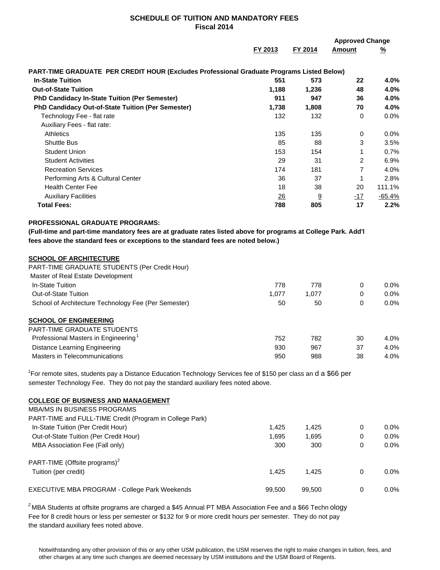## **SCHEDULE OF TUITION AND MANDATORY FEES Fiscal 2014**

|                                                                                                                                                                                                                                |                    |                    | <b>Approved Change</b> |                      |  |
|--------------------------------------------------------------------------------------------------------------------------------------------------------------------------------------------------------------------------------|--------------------|--------------------|------------------------|----------------------|--|
|                                                                                                                                                                                                                                | FY 2013            | FY 2014            | Amount                 | <u>%</u>             |  |
| PART-TIME GRADUATE PER CREDIT HOUR (Excludes Professional Graduate Programs Listed Below)                                                                                                                                      |                    |                    |                        |                      |  |
| <b>In-State Tuition</b>                                                                                                                                                                                                        | 551                | 573                | 22                     | 4.0%                 |  |
| <b>Out-of-State Tuition</b>                                                                                                                                                                                                    | 1,188              | 1,236              | 48                     | 4.0%                 |  |
| PhD Candidacy In-State Tuition (Per Semester)                                                                                                                                                                                  | 911                | 947                | 36                     | 4.0%                 |  |
| PhD Candidacy Out-of-State Tuition (Per Semester)                                                                                                                                                                              | 1,738              | 1,808              | 70                     | 4.0%                 |  |
| Technology Fee - flat rate                                                                                                                                                                                                     | 132                | 132                | 0                      | 0.0%                 |  |
| Auxiliary Fees - flat rate:                                                                                                                                                                                                    |                    |                    |                        |                      |  |
| <b>Athletics</b>                                                                                                                                                                                                               | 135                | 135                | 0                      | 0.0%                 |  |
| <b>Shuttle Bus</b>                                                                                                                                                                                                             | 85                 | 88                 | 3                      | 3.5%                 |  |
| <b>Student Union</b>                                                                                                                                                                                                           | 153                | 154                | 1                      | 0.7%                 |  |
| <b>Student Activities</b>                                                                                                                                                                                                      | 29                 | 31                 | 2                      | 6.9%                 |  |
| <b>Recreation Services</b>                                                                                                                                                                                                     | 174                | 181                | $\overline{7}$         | 4.0%                 |  |
| Performing Arts & Cultural Center                                                                                                                                                                                              | 36                 | 37                 | 1                      | 2.8%                 |  |
| <b>Health Center Fee</b>                                                                                                                                                                                                       | 18                 | 38                 | 20                     | 111.1%               |  |
| <b>Auxiliary Facilities</b>                                                                                                                                                                                                    | 26                 | 9                  | $-17$                  | $-65.4%$             |  |
| <b>Total Fees:</b>                                                                                                                                                                                                             | 788                | 805                | 17                     | 2.2%                 |  |
| <b>SCHOOL OF ARCHITECTURE</b><br>PART-TIME GRADUATE STUDENTS (Per Credit Hour)<br>Master of Real Estate Development<br>In-State Tuition<br><b>Out-of-State Tuition</b><br>School of Architecture Technology Fee (Per Semester) | 778<br>1,077<br>50 | 778<br>1,077<br>50 | 0<br>0<br>0            | 0.0%<br>0.0%<br>0.0% |  |
|                                                                                                                                                                                                                                |                    |                    |                        |                      |  |
| <b>SCHOOL OF ENGINEERING</b>                                                                                                                                                                                                   |                    |                    |                        |                      |  |
| PART-TIME GRADUATE STUDENTS<br>Professional Masters in Engineering <sup>1</sup>                                                                                                                                                |                    |                    |                        |                      |  |
|                                                                                                                                                                                                                                | 752                | 782                | 30                     | 4.0%                 |  |
| <b>Distance Learning Engineering</b><br>Masters in Telecommunications                                                                                                                                                          | 930<br>950         | 967<br>988         | 37<br>38               | 4.0%<br>4.0%         |  |
|                                                                                                                                                                                                                                |                    |                    |                        |                      |  |
| <sup>1</sup> For remote sites, students pay a Distance Education Technology Services fee of \$150 per class an d a \$66 per                                                                                                    |                    |                    |                        |                      |  |
| semester Technology Fee. They do not pay the standard auxiliary fees noted above.                                                                                                                                              |                    |                    |                        |                      |  |
| <b>COLLEGE OF BUSINESS AND MANAGEMENT</b>                                                                                                                                                                                      |                    |                    |                        |                      |  |
| <b>MBA/MS IN BUSINESS PROGRAMS</b>                                                                                                                                                                                             |                    |                    |                        |                      |  |
| PART-TIME and FULL-TIME Credit (Program in College Park)                                                                                                                                                                       |                    |                    |                        |                      |  |
| In-State Tuition (Per Credit Hour)                                                                                                                                                                                             | 1,425              | 1,425              | 0                      | $0.0\%$              |  |
| Out-of-State Tuition (Per Credit Hour)                                                                                                                                                                                         | 1,695              | 1,695              | 0                      | 0.0%                 |  |
| MBA Association Fee (Fall only)                                                                                                                                                                                                | 300                | 300                | 0                      | 0.0%                 |  |
| PART-TIME (Offsite programs) <sup>2</sup>                                                                                                                                                                                      |                    |                    |                        |                      |  |

EXECUTIVE MBA PROGRAM - College Park Weekends  $99,500$  99,500 0 0.0%

*<sup>2</sup>* MBA Students at offsite programs are charged a \$45 Annual PT MBA Association Fee and a \$66 Techn ology Fee for 8 credit hours or less per semester or \$132 for 9 or more credit hours per semester. They do not pay the standard auxiliary fees noted above.

Notwithstanding any other provision of this or any other USM publication, the USM reserves the right to make changes in tuition, fees, and other charges at any time such changes are deemed necessary by USM institutions and the USM Board of Regents.

Tuition (per credit) 1,425 1,425 0 0.0%